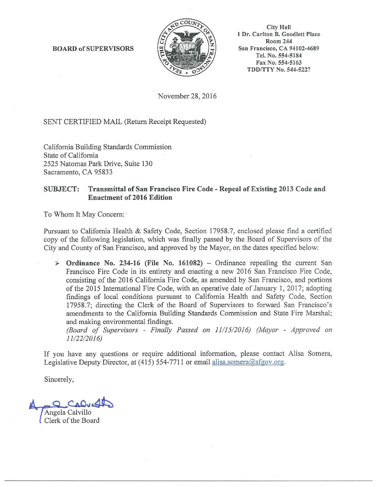BOARD of SUPERVISORS



City Hall I Dr. Carlton B. Goodlett Place Room 244 San Francisco, CA 94102-4689 Tel. No. 554-5184 Fax No. 554-5163 TDD/TTY No. 544-5227

November 28, 2016

SENT CERTIFIED MAIL (Return Receipt Requested)

California Building Standards Commission State of California 2525 Natomas Park Drive, Suite 130 Sacramento, CA 95833

## SUBJECT: Transmittal of San Francisco Fire Code - Repeal of Existing 2013 Code and Enactment of 2016 Edition

To Whom It May Concern:

Pursuant to California Health & Safety Code, Section 17958.7, enclosed please find a certified copy of the following legislation, which was finally passed by the Board of Supervisors of the City and County of San Francisco, and approved by the Mayor, on the dates specified below:

 $\triangleright$  Ordinance No. 234-16 (File No. 161082) – Ordinance repealing the current San Francisco Fire Code in its entirety and enacting a new 2016 San Francisco Fire Code, consisting of the 2016 California Fire Code, as amended by San Francisco, and portions of the 2015 International Fire Code, with an operative date of January 1, 2017; adopting findings of local conditions pursuant to California Health and Safety Code, Section 17958.7; directing the Clerk of the Board of Supervisors to forward San Francisco's amendments to the California Building Standards Commission and State Fire Marshal; and making environmental findings.

*(Board of Supervisors* - *Finally Passed on 1111512016) (Mayor* - *Approved on 1112212016)* 

If you have any questions or require additional information, please contact Alisa Somera, Legislative Deputy Director, at (415) 554-7711 or email alisa.somera@sfgov.org.

Sincerely,

Angela Calvillo Clerk of the Board